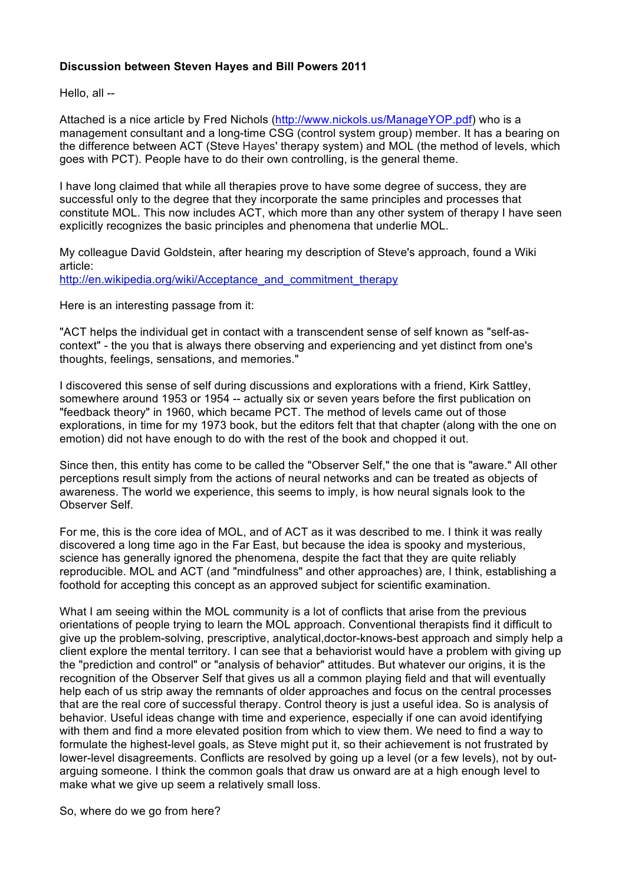# **Discussion between Steven Hayes and Bill Powers 2011**

Hello, all --

Attached is a nice article by Fred Nichols (http://www.nickols.us/ManageYOP.pdf) who is a management consultant and a long-time CSG (control system group) member. It has a bearing on the difference between ACT (Steve Hayes' therapy system) and MOL (the method of levels, which goes with PCT). People have to do their own controlling, is the general theme.

I have long claimed that while all therapies prove to have some degree of success, they are successful only to the degree that they incorporate the same principles and processes that constitute MOL. This now includes ACT, which more than any other system of therapy I have seen explicitly recognizes the basic principles and phenomena that underlie MOL.

My colleague David Goldstein, after hearing my description of Steve's approach, found a Wiki article: http://en.wikipedia.org/wiki/Acceptance\_and\_commitment\_therapy

Here is an interesting passage from it:

"ACT helps the individual get in contact with a transcendent sense of self known as "self-ascontext" - the you that is always there observing and experiencing and yet distinct from one's thoughts, feelings, sensations, and memories."

I discovered this sense of self during discussions and explorations with a friend, Kirk Sattley, somewhere around 1953 or 1954 -- actually six or seven years before the first publication on "feedback theory" in 1960, which became PCT. The method of levels came out of those explorations, in time for my 1973 book, but the editors felt that that chapter (along with the one on emotion) did not have enough to do with the rest of the book and chopped it out.

Since then, this entity has come to be called the "Observer Self," the one that is "aware." All other perceptions result simply from the actions of neural networks and can be treated as objects of awareness. The world we experience, this seems to imply, is how neural signals look to the Observer Self.

For me, this is the core idea of MOL, and of ACT as it was described to me. I think it was really discovered a long time ago in the Far East, but because the idea is spooky and mysterious, science has generally ignored the phenomena, despite the fact that they are quite reliably reproducible. MOL and ACT (and "mindfulness" and other approaches) are, I think, establishing a foothold for accepting this concept as an approved subject for scientific examination.

What I am seeing within the MOL community is a lot of conflicts that arise from the previous orientations of people trying to learn the MOL approach. Conventional therapists find it difficult to give up the problem-solving, prescriptive, analytical,doctor-knows-best approach and simply help a client explore the mental territory. I can see that a behaviorist would have a problem with giving up the "prediction and control" or "analysis of behavior" attitudes. But whatever our origins, it is the recognition of the Observer Self that gives us all a common playing field and that will eventually help each of us strip away the remnants of older approaches and focus on the central processes that are the real core of successful therapy. Control theory is just a useful idea. So is analysis of behavior. Useful ideas change with time and experience, especially if one can avoid identifying with them and find a more elevated position from which to view them. We need to find a way to formulate the highest-level goals, as Steve might put it, so their achievement is not frustrated by lower-level disagreements. Conflicts are resolved by going up a level (or a few levels), not by outarguing someone. I think the common goals that draw us onward are at a high enough level to make what we give up seem a relatively small loss.

So, where do we go from here?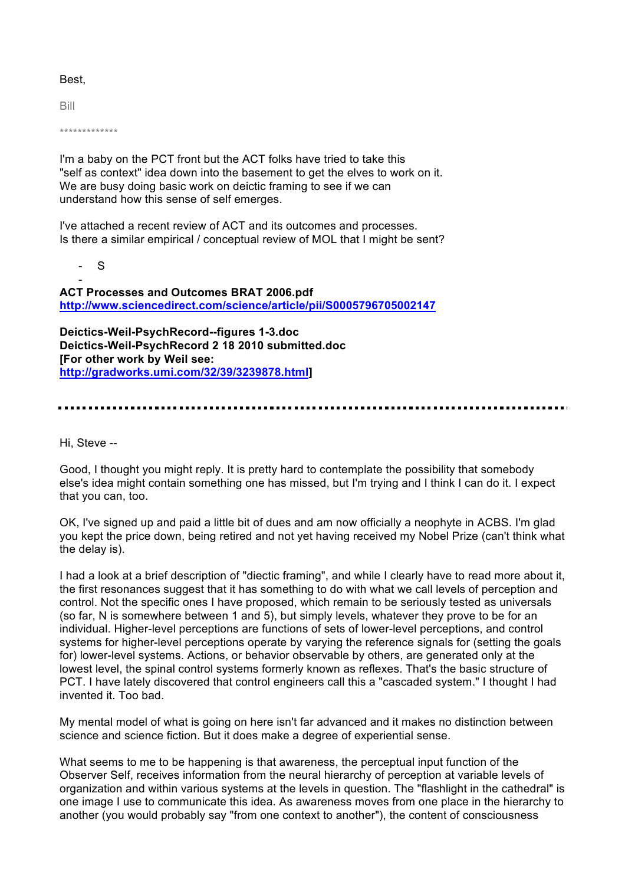## Best,

Bill

\*\*\*\*\*\*\*\*\*\*\*\*\*

- S

I'm a baby on the PCT front but the ACT folks have tried to take this "self as context" idea down into the basement to get the elves to work on it. We are busy doing basic work on deictic framing to see if we can understand how this sense of self emerges.

I've attached a recent review of ACT and its outcomes and processes. Is there a similar empirical / conceptual review of MOL that I might be sent?

- **ACT Processes and Outcomes BRAT 2006.pdf http://www.sciencedirect.com/science/article/pii/S0005796705002147**

**Deictics-Weil-PsychRecord--figures 1-3.doc Deictics-Weil-PsychRecord 2 18 2010 submitted.doc [For other work by Weil see: http://gradworks.umi.com/32/39/3239878.html]**

Hi, Steve --

Good, I thought you might reply. It is pretty hard to contemplate the possibility that somebody else's idea might contain something one has missed, but I'm trying and I think I can do it. I expect that you can, too.

OK, I've signed up and paid a little bit of dues and am now officially a neophyte in ACBS. I'm glad you kept the price down, being retired and not yet having received my Nobel Prize (can't think what the delay is).

I had a look at a brief description of "diectic framing", and while I clearly have to read more about it, the first resonances suggest that it has something to do with what we call levels of perception and control. Not the specific ones I have proposed, which remain to be seriously tested as universals (so far, N is somewhere between 1 and 5), but simply levels, whatever they prove to be for an individual. Higher-level perceptions are functions of sets of lower-level perceptions, and control systems for higher-level perceptions operate by varying the reference signals for (setting the goals for) lower-level systems. Actions, or behavior observable by others, are generated only at the lowest level, the spinal control systems formerly known as reflexes. That's the basic structure of PCT. I have lately discovered that control engineers call this a "cascaded system." I thought I had invented it. Too bad.

My mental model of what is going on here isn't far advanced and it makes no distinction between science and science fiction. But it does make a degree of experiential sense.

What seems to me to be happening is that awareness, the perceptual input function of the Observer Self, receives information from the neural hierarchy of perception at variable levels of organization and within various systems at the levels in question. The "flashlight in the cathedral" is one image I use to communicate this idea. As awareness moves from one place in the hierarchy to another (you would probably say "from one context to another"), the content of consciousness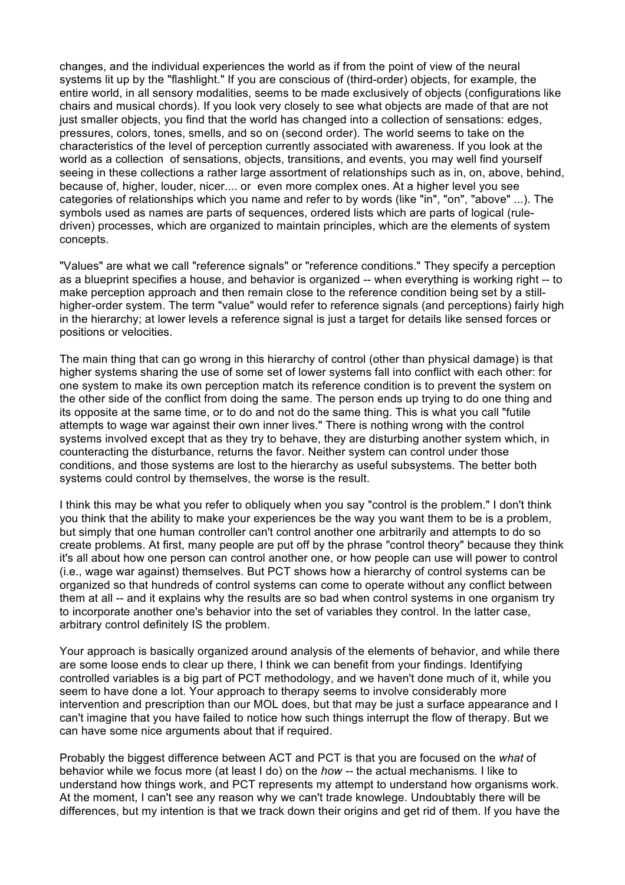changes, and the individual experiences the world as if from the point of view of the neural systems lit up by the "flashlight." If you are conscious of (third-order) objects, for example, the entire world, in all sensory modalities, seems to be made exclusively of objects (configurations like chairs and musical chords). If you look very closely to see what objects are made of that are not just smaller objects, you find that the world has changed into a collection of sensations: edges, pressures, colors, tones, smells, and so on (second order). The world seems to take on the characteristics of the level of perception currently associated with awareness. If you look at the world as a collection of sensations, objects, transitions, and events, you may well find yourself seeing in these collections a rather large assortment of relationships such as in, on, above, behind, because of, higher, louder, nicer.... or even more complex ones. At a higher level you see categories of relationships which you name and refer to by words (like "in", "on", "above" ...). The symbols used as names are parts of sequences, ordered lists which are parts of logical (ruledriven) processes, which are organized to maintain principles, which are the elements of system concepts.

"Values" are what we call "reference signals" or "reference conditions." They specify a perception as a blueprint specifies a house, and behavior is organized -- when everything is working right -- to make perception approach and then remain close to the reference condition being set by a stillhigher-order system. The term "value" would refer to reference signals (and perceptions) fairly high in the hierarchy; at lower levels a reference signal is just a target for details like sensed forces or positions or velocities.

The main thing that can go wrong in this hierarchy of control (other than physical damage) is that higher systems sharing the use of some set of lower systems fall into conflict with each other: for one system to make its own perception match its reference condition is to prevent the system on the other side of the conflict from doing the same. The person ends up trying to do one thing and its opposite at the same time, or to do and not do the same thing. This is what you call "futile attempts to wage war against their own inner lives." There is nothing wrong with the control systems involved except that as they try to behave, they are disturbing another system which, in counteracting the disturbance, returns the favor. Neither system can control under those conditions, and those systems are lost to the hierarchy as useful subsystems. The better both systems could control by themselves, the worse is the result.

I think this may be what you refer to obliquely when you say "control is the problem." I don't think you think that the ability to make your experiences be the way you want them to be is a problem, but simply that one human controller can't control another one arbitrarily and attempts to do so create problems. At first, many people are put off by the phrase "control theory" because they think it's all about how one person can control another one, or how people can use will power to control (i.e., wage war against) themselves. But PCT shows how a hierarchy of control systems can be organized so that hundreds of control systems can come to operate without any conflict between them at all -- and it explains why the results are so bad when control systems in one organism try to incorporate another one's behavior into the set of variables they control. In the latter case, arbitrary control definitely IS the problem.

Your approach is basically organized around analysis of the elements of behavior, and while there are some loose ends to clear up there, I think we can benefit from your findings. Identifying controlled variables is a big part of PCT methodology, and we haven't done much of it, while you seem to have done a lot. Your approach to therapy seems to involve considerably more intervention and prescription than our MOL does, but that may be just a surface appearance and I can't imagine that you have failed to notice how such things interrupt the flow of therapy. But we can have some nice arguments about that if required.

Probably the biggest difference between ACT and PCT is that you are focused on the *what* of behavior while we focus more (at least I do) on the *how --* the actual mechanisms*.* I like to understand how things work, and PCT represents my attempt to understand how organisms work. At the moment, I can't see any reason why we can't trade knowlege. Undoubtably there will be differences, but my intention is that we track down their origins and get rid of them. If you have the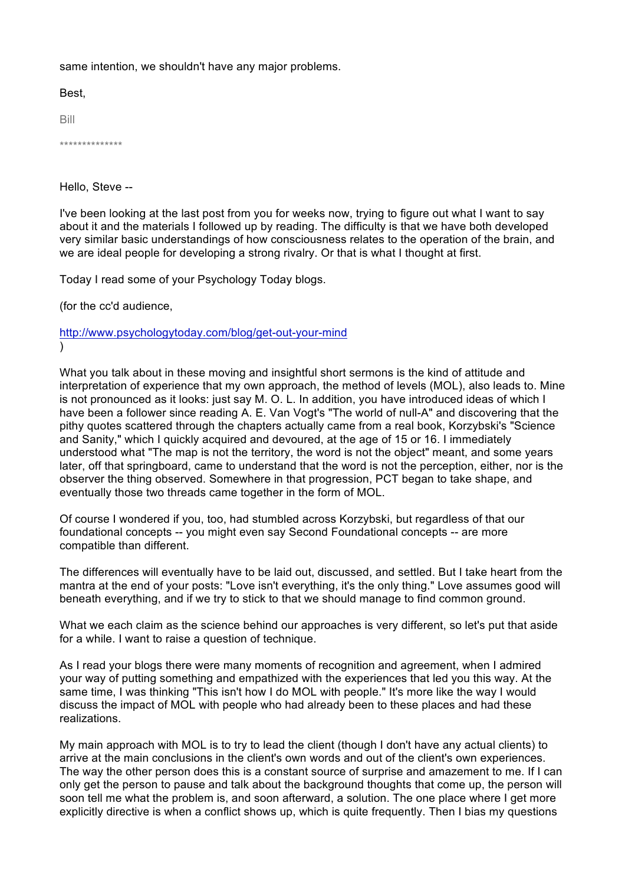same intention, we shouldn't have any major problems.

Best,

Bill

\*\*\*\*\*\*\*\*\*\*\*\*\*\*

Hello, Steve --

I've been looking at the last post from you for weeks now, trying to figure out what I want to say about it and the materials I followed up by reading. The difficulty is that we have both developed very similar basic understandings of how consciousness relates to the operation of the brain, and we are ideal people for developing a strong rivalry. Or that is what I thought at first.

Today I read some of your Psychology Today blogs.

(for the cc'd audience,

http://www.psychologytoday.com/blog/get-out-your-mind )

What you talk about in these moving and insightful short sermons is the kind of attitude and interpretation of experience that my own approach, the method of levels (MOL), also leads to. Mine is not pronounced as it looks: just say M. O. L. In addition, you have introduced ideas of which I have been a follower since reading A. E. Van Vogt's "The world of null-A" and discovering that the pithy quotes scattered through the chapters actually came from a real book, Korzybski's "Science and Sanity," which I quickly acquired and devoured, at the age of 15 or 16. I immediately understood what "The map is not the territory, the word is not the object" meant, and some years later, off that springboard, came to understand that the word is not the perception, either, nor is the observer the thing observed. Somewhere in that progression, PCT began to take shape, and eventually those two threads came together in the form of MOL.

Of course I wondered if you, too, had stumbled across Korzybski, but regardless of that our foundational concepts -- you might even say Second Foundational concepts -- are more compatible than different.

The differences will eventually have to be laid out, discussed, and settled. But I take heart from the mantra at the end of your posts: "Love isn't everything, it's the only thing." Love assumes good will beneath everything, and if we try to stick to that we should manage to find common ground.

What we each claim as the science behind our approaches is very different, so let's put that aside for a while. I want to raise a question of technique.

As I read your blogs there were many moments of recognition and agreement, when I admired your way of putting something and empathized with the experiences that led you this way. At the same time, I was thinking "This isn't how I do MOL with people." It's more like the way I would discuss the impact of MOL with people who had already been to these places and had these realizations.

My main approach with MOL is to try to lead the client (though I don't have any actual clients) to arrive at the main conclusions in the client's own words and out of the client's own experiences. The way the other person does this is a constant source of surprise and amazement to me. If I can only get the person to pause and talk about the background thoughts that come up, the person will soon tell me what the problem is, and soon afterward, a solution. The one place where I get more explicitly directive is when a conflict shows up, which is quite frequently. Then I bias my questions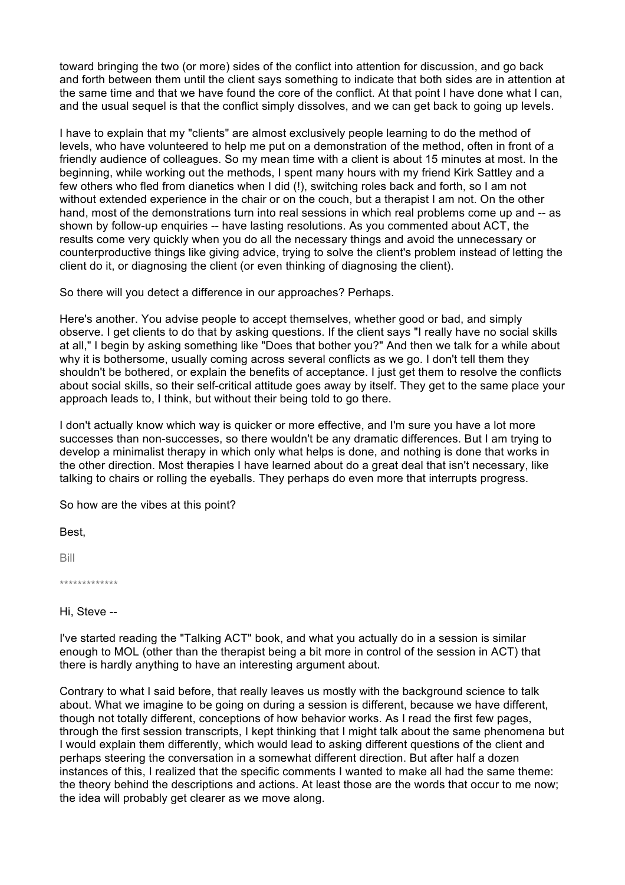toward bringing the two (or more) sides of the conflict into attention for discussion, and go back and forth between them until the client says something to indicate that both sides are in attention at the same time and that we have found the core of the conflict. At that point I have done what I can, and the usual sequel is that the conflict simply dissolves, and we can get back to going up levels.

I have to explain that my "clients" are almost exclusively people learning to do the method of levels, who have volunteered to help me put on a demonstration of the method, often in front of a friendly audience of colleagues. So my mean time with a client is about 15 minutes at most. In the beginning, while working out the methods, I spent many hours with my friend Kirk Sattley and a few others who fled from dianetics when I did (!), switching roles back and forth, so I am not without extended experience in the chair or on the couch, but a therapist I am not. On the other hand, most of the demonstrations turn into real sessions in which real problems come up and -- as shown by follow-up enquiries -- have lasting resolutions. As you commented about ACT, the results come very quickly when you do all the necessary things and avoid the unnecessary or counterproductive things like giving advice, trying to solve the client's problem instead of letting the client do it, or diagnosing the client (or even thinking of diagnosing the client).

So there will you detect a difference in our approaches? Perhaps.

Here's another. You advise people to accept themselves, whether good or bad, and simply observe. I get clients to do that by asking questions. If the client says "I really have no social skills at all," I begin by asking something like "Does that bother you?" And then we talk for a while about why it is bothersome, usually coming across several conflicts as we go. I don't tell them they shouldn't be bothered, or explain the benefits of acceptance. I just get them to resolve the conflicts about social skills, so their self-critical attitude goes away by itself. They get to the same place your approach leads to, I think, but without their being told to go there.

I don't actually know which way is quicker or more effective, and I'm sure you have a lot more successes than non-successes, so there wouldn't be any dramatic differences. But I am trying to develop a minimalist therapy in which only what helps is done, and nothing is done that works in the other direction. Most therapies I have learned about do a great deal that isn't necessary, like talking to chairs or rolling the eyeballs. They perhaps do even more that interrupts progress.

So how are the vibes at this point?

Best,

Bill

\*\*\*\*\*\*\*\*\*\*\*\*\*

Hi, Steve --

I've started reading the "Talking ACT" book, and what you actually do in a session is similar enough to MOL (other than the therapist being a bit more in control of the session in ACT) that there is hardly anything to have an interesting argument about.

Contrary to what I said before, that really leaves us mostly with the background science to talk about. What we imagine to be going on during a session is different, because we have different, though not totally different, conceptions of how behavior works. As I read the first few pages, through the first session transcripts, I kept thinking that I might talk about the same phenomena but I would explain them differently, which would lead to asking different questions of the client and perhaps steering the conversation in a somewhat different direction. But after half a dozen instances of this, I realized that the specific comments I wanted to make all had the same theme: the theory behind the descriptions and actions. At least those are the words that occur to me now; the idea will probably get clearer as we move along.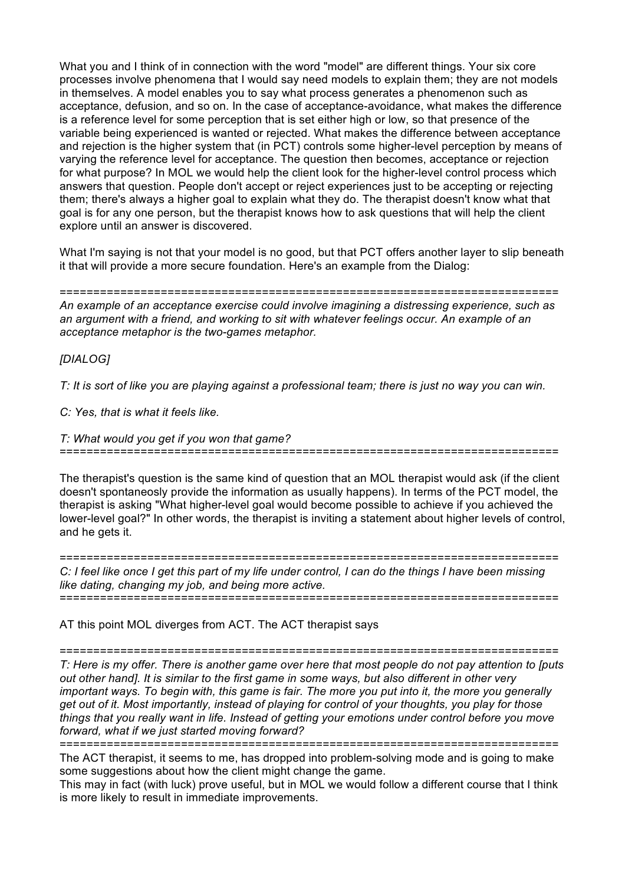What you and I think of in connection with the word "model" are different things. Your six core processes involve phenomena that I would say need models to explain them; they are not models in themselves. A model enables you to say what process generates a phenomenon such as acceptance, defusion, and so on. In the case of acceptance-avoidance, what makes the difference is a reference level for some perception that is set either high or low, so that presence of the variable being experienced is wanted or rejected. What makes the difference between acceptance and rejection is the higher system that (in PCT) controls some higher-level perception by means of varying the reference level for acceptance. The question then becomes, acceptance or rejection for what purpose? In MOL we would help the client look for the higher-level control process which answers that question. People don't accept or reject experiences just to be accepting or rejecting them; there's always a higher goal to explain what they do. The therapist doesn't know what that goal is for any one person, but the therapist knows how to ask questions that will help the client explore until an answer is discovered.

What I'm saying is not that your model is no good, but that PCT offers another layer to slip beneath it that will provide a more secure foundation. Here's an example from the Dialog:

========================================================================== *An example of an acceptance exercise could involve imagining a distressing experience, such as an argument with a friend, and working to sit with whatever feelings occur. An example of an acceptance metaphor is the two-games metaphor.*

*[DIALOG]*

*T: It is sort of like you are playing against a professional team; there is just no way you can win.*

*C: Yes, that is what it feels like.*

*T: What would you get if you won that game?*

The therapist's question is the same kind of question that an MOL therapist would ask (if the client doesn't spontaneosly provide the information as usually happens). In terms of the PCT model, the therapist is asking "What higher-level goal would become possible to achieve if you achieved the

==========================================================================

lower-level goal?" In other words, the therapist is inviting a statement about higher levels of control, and he gets it.

========================================================================== *C: I feel like once I get this part of my life under control, I can do the things I have been missing like dating, changing my job, and being more active.* ==========================================================================

AT this point MOL diverges from ACT. The ACT therapist says

==========================================================================

*T: Here is my offer. There is another game over here that most people do not pay attention to [puts out other hand]. It is similar to the first game in some ways, but also different in other very important ways. To begin with, this game is fair. The more you put into it, the more you generally get out of it. Most importantly, instead of playing for control of your thoughts, you play for those things that you really want in life. Instead of getting your emotions under control before you move forward, what if we just started moving forward?*

==========================================================================

The ACT therapist, it seems to me, has dropped into problem-solving mode and is going to make some suggestions about how the client might change the game.

This may in fact (with luck) prove useful, but in MOL we would follow a different course that I think is more likely to result in immediate improvements.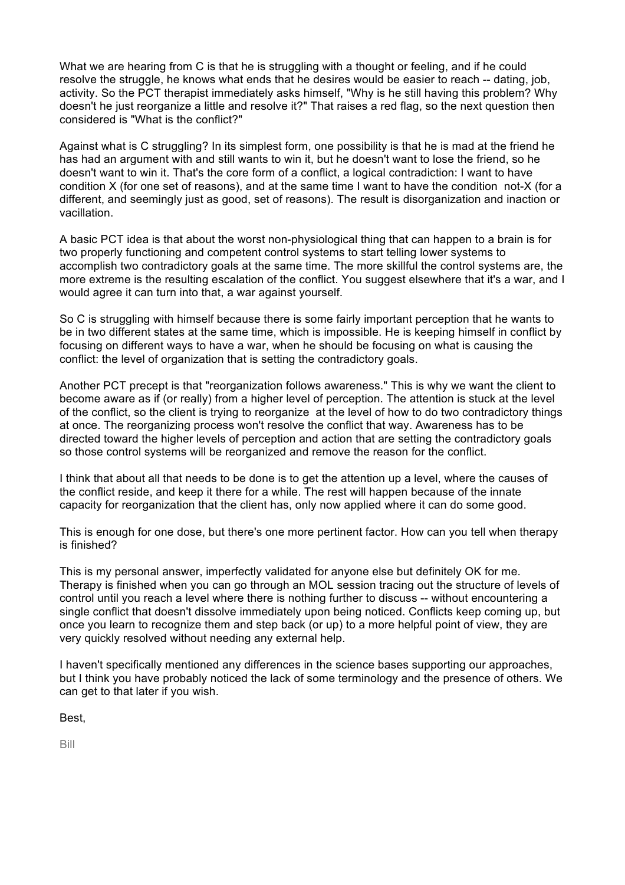What we are hearing from C is that he is struggling with a thought or feeling, and if he could resolve the struggle, he knows what ends that he desires would be easier to reach -- dating, job, activity. So the PCT therapist immediately asks himself, "Why is he still having this problem? Why doesn't he just reorganize a little and resolve it?" That raises a red flag, so the next question then considered is "What is the conflict?"

Against what is C struggling? In its simplest form, one possibility is that he is mad at the friend he has had an argument with and still wants to win it, but he doesn't want to lose the friend, so he doesn't want to win it. That's the core form of a conflict, a logical contradiction: I want to have condition X (for one set of reasons), and at the same time I want to have the condition not-X (for a different, and seemingly just as good, set of reasons). The result is disorganization and inaction or vacillation.

A basic PCT idea is that about the worst non-physiological thing that can happen to a brain is for two properly functioning and competent control systems to start telling lower systems to accomplish two contradictory goals at the same time. The more skillful the control systems are, the more extreme is the resulting escalation of the conflict. You suggest elsewhere that it's a war, and I would agree it can turn into that, a war against yourself.

So C is struggling with himself because there is some fairly important perception that he wants to be in two different states at the same time, which is impossible. He is keeping himself in conflict by focusing on different ways to have a war, when he should be focusing on what is causing the conflict: the level of organization that is setting the contradictory goals.

Another PCT precept is that "reorganization follows awareness." This is why we want the client to become aware as if (or really) from a higher level of perception. The attention is stuck at the level of the conflict, so the client is trying to reorganize at the level of how to do two contradictory things at once. The reorganizing process won't resolve the conflict that way. Awareness has to be directed toward the higher levels of perception and action that are setting the contradictory goals so those control systems will be reorganized and remove the reason for the conflict.

I think that about all that needs to be done is to get the attention up a level, where the causes of the conflict reside, and keep it there for a while. The rest will happen because of the innate capacity for reorganization that the client has, only now applied where it can do some good.

This is enough for one dose, but there's one more pertinent factor. How can you tell when therapy is finished?

This is my personal answer, imperfectly validated for anyone else but definitely OK for me. Therapy is finished when you can go through an MOL session tracing out the structure of levels of control until you reach a level where there is nothing further to discuss -- without encountering a single conflict that doesn't dissolve immediately upon being noticed. Conflicts keep coming up, but once you learn to recognize them and step back (or up) to a more helpful point of view, they are very quickly resolved without needing any external help.

I haven't specifically mentioned any differences in the science bases supporting our approaches, but I think you have probably noticed the lack of some terminology and the presence of others. We can get to that later if you wish.

Best,

Bill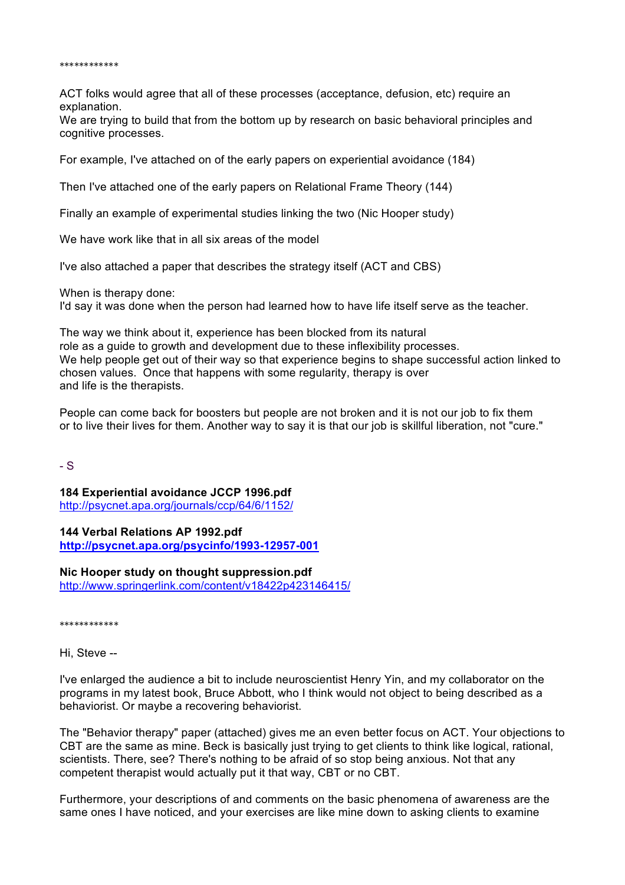#### \*\*\*\*\*\*\*\*\*\*\*\*

ACT folks would agree that all of these processes (acceptance, defusion, etc) require an explanation.

We are trying to build that from the bottom up by research on basic behavioral principles and cognitive processes.

For example, I've attached on of the early papers on experiential avoidance (184)

Then I've attached one of the early papers on Relational Frame Theory (144)

Finally an example of experimental studies linking the two (Nic Hooper study)

We have work like that in all six areas of the model

I've also attached a paper that describes the strategy itself (ACT and CBS)

When is therapy done:

I'd say it was done when the person had learned how to have life itself serve as the teacher.

The way we think about it, experience has been blocked from its natural role as a guide to growth and development due to these inflexibility processes. We help people get out of their way so that experience begins to shape successful action linked to chosen values. Once that happens with some regularity, therapy is over and life is the therapists.

People can come back for boosters but people are not broken and it is not our job to fix them or to live their lives for them. Another way to say it is that our job is skillful liberation, not "cure."

- S

**184 Experiential avoidance JCCP 1996.pdf** http://psycnet.apa.org/journals/ccp/64/6/1152/

# **144 Verbal Relations AP 1992.pdf http://psycnet.apa.org/psycinfo/1993-12957-001**

**Nic Hooper study on thought suppression.pdf** http://www.springerlink.com/content/v18422p423146415/

\*\*\*\*\*\*\*\*\*\*\*\*

Hi, Steve --

I've enlarged the audience a bit to include neuroscientist Henry Yin, and my collaborator on the programs in my latest book, Bruce Abbott, who I think would not object to being described as a behaviorist. Or maybe a recovering behaviorist.

The "Behavior therapy" paper (attached) gives me an even better focus on ACT. Your objections to CBT are the same as mine. Beck is basically just trying to get clients to think like logical, rational, scientists. There, see? There's nothing to be afraid of so stop being anxious. Not that any competent therapist would actually put it that way, CBT or no CBT.

Furthermore, your descriptions of and comments on the basic phenomena of awareness are the same ones I have noticed, and your exercises are like mine down to asking clients to examine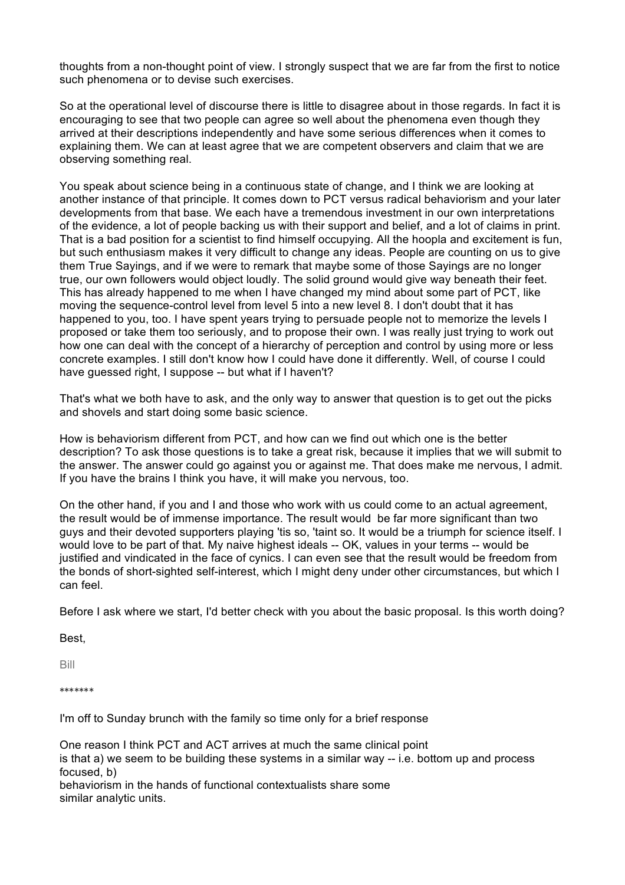thoughts from a non-thought point of view. I strongly suspect that we are far from the first to notice such phenomena or to devise such exercises.

So at the operational level of discourse there is little to disagree about in those regards. In fact it is encouraging to see that two people can agree so well about the phenomena even though they arrived at their descriptions independently and have some serious differences when it comes to explaining them. We can at least agree that we are competent observers and claim that we are observing something real.

You speak about science being in a continuous state of change, and I think we are looking at another instance of that principle. It comes down to PCT versus radical behaviorism and your later developments from that base. We each have a tremendous investment in our own interpretations of the evidence, a lot of people backing us with their support and belief, and a lot of claims in print. That is a bad position for a scientist to find himself occupying. All the hoopla and excitement is fun, but such enthusiasm makes it very difficult to change any ideas. People are counting on us to give them True Sayings, and if we were to remark that maybe some of those Sayings are no longer true, our own followers would object loudly. The solid ground would give way beneath their feet. This has already happened to me when I have changed my mind about some part of PCT, like moving the sequence-control level from level 5 into a new level 8. I don't doubt that it has happened to you, too. I have spent years trying to persuade people not to memorize the levels I proposed or take them too seriously, and to propose their own. I was really just trying to work out how one can deal with the concept of a hierarchy of perception and control by using more or less concrete examples. I still don't know how I could have done it differently. Well, of course I could have guessed right, I suppose -- but what if I haven't?

That's what we both have to ask, and the only way to answer that question is to get out the picks and shovels and start doing some basic science.

How is behaviorism different from PCT, and how can we find out which one is the better description? To ask those questions is to take a great risk, because it implies that we will submit to the answer. The answer could go against you or against me. That does make me nervous, I admit. If you have the brains I think you have, it will make you nervous, too.

On the other hand, if you and I and those who work with us could come to an actual agreement, the result would be of immense importance. The result would be far more significant than two guys and their devoted supporters playing 'tis so, 'taint so. It would be a triumph for science itself. I would love to be part of that. My naive highest ideals -- OK, values in your terms -- would be justified and vindicated in the face of cynics. I can even see that the result would be freedom from the bonds of short-sighted self-interest, which I might deny under other circumstances, but which I can feel.

Before I ask where we start, I'd better check with you about the basic proposal. Is this worth doing?

Best,

Bill

\*\*\*\*\*\*\*

I'm off to Sunday brunch with the family so time only for a brief response

One reason I think PCT and ACT arrives at much the same clinical point is that a) we seem to be building these systems in a similar way -- i.e. bottom up and process focused, b)

behaviorism in the hands of functional contextualists share some similar analytic units.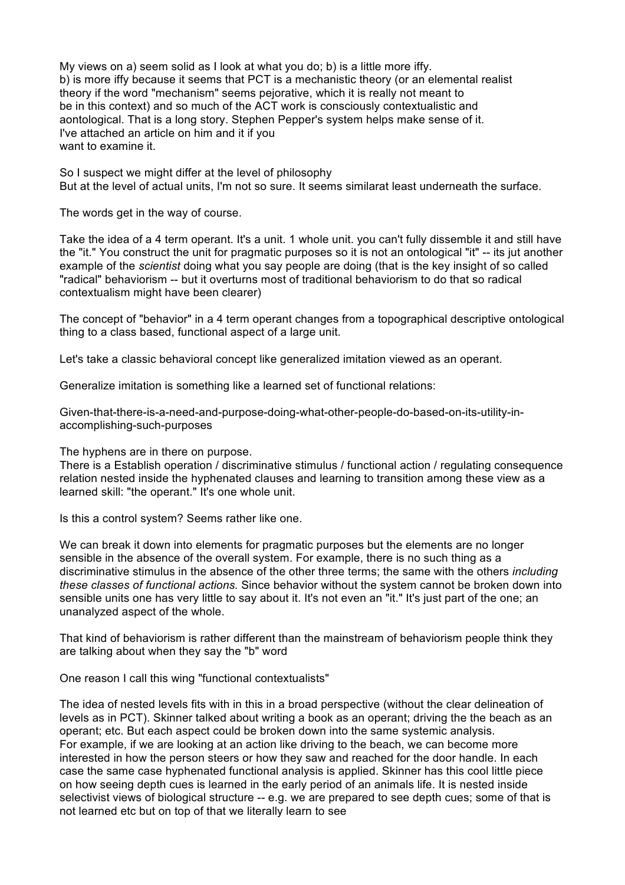My views on a) seem solid as I look at what you do; b) is a little more iffy. b) is more iffy because it seems that PCT is a mechanistic theory (or an elemental realist theory if the word "mechanism" seems pejorative, which it is really not meant to be in this context) and so much of the ACT work is consciously contextualistic and aontological. That is a long story. Stephen Pepper's system helps make sense of it. I've attached an article on him and it if you want to examine it.

So I suspect we might differ at the level of philosophy But at the level of actual units, I'm not so sure. It seems similarat least underneath the surface.

The words get in the way of course.

Take the idea of a 4 term operant. It's a unit. 1 whole unit. you can't fully dissemble it and still have the "it." You construct the unit for pragmatic purposes so it is not an ontological "it" -- its jut another example of the *scientist* doing what you say people are doing (that is the key insight of so called "radical" behaviorism -- but it overturns most of traditional behaviorism to do that so radical contextualism might have been clearer)

The concept of "behavior" in a 4 term operant changes from a topographical descriptive ontological thing to a class based, functional aspect of a large unit.

Let's take a classic behavioral concept like generalized imitation viewed as an operant.

Generalize imitation is something like a learned set of functional relations:

Given-that-there-is-a-need-and-purpose-doing-what-other-people-do-based-on-its-utility-inaccomplishing-such-purposes

The hyphens are in there on purpose.

There is a Establish operation / discriminative stimulus / functional action / regulating consequence relation nested inside the hyphenated clauses and learning to transition among these view as a learned skill: "the operant." It's one whole unit.

Is this a control system? Seems rather like one.

We can break it down into elements for pragmatic purposes but the elements are no longer sensible in the absence of the overall system. For example, there is no such thing as a discriminative stimulus in the absence of the other three terms; the same with the others *including these classes of functional actions.* Since behavior without the system cannot be broken down into sensible units one has very little to say about it. It's not even an "it." It's just part of the one; an unanalyzed aspect of the whole.

That kind of behaviorism is rather different than the mainstream of behaviorism people think they are talking about when they say the "b" word

One reason I call this wing "functional contextualists"

The idea of nested levels fits with in this in a broad perspective (without the clear delineation of levels as in PCT). Skinner talked about writing a book as an operant; driving the the beach as an operant; etc. But each aspect could be broken down into the same systemic analysis. For example, if we are looking at an action like driving to the beach, we can become more interested in how the person steers or how they saw and reached for the door handle. In each case the same case hyphenated functional analysis is applied. Skinner has this cool little piece on how seeing depth cues is learned in the early period of an animals life. It is nested inside selectivist views of biological structure -- e.g. we are prepared to see depth cues; some of that is not learned etc but on top of that we literally learn to see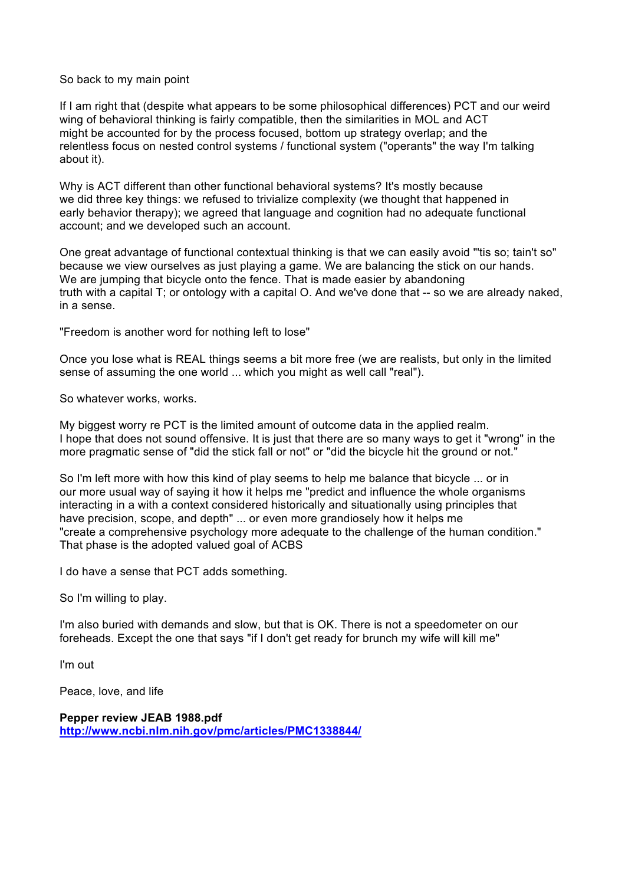## So back to my main point

If I am right that (despite what appears to be some philosophical differences) PCT and our weird wing of behavioral thinking is fairly compatible, then the similarities in MOL and ACT might be accounted for by the process focused, bottom up strategy overlap; and the relentless focus on nested control systems / functional system ("operants" the way I'm talking about it).

Why is ACT different than other functional behavioral systems? It's mostly because we did three key things: we refused to trivialize complexity (we thought that happened in early behavior therapy); we agreed that language and cognition had no adequate functional account; and we developed such an account.

One great advantage of functional contextual thinking is that we can easily avoid "'tis so; tain't so" because we view ourselves as just playing a game. We are balancing the stick on our hands. We are jumping that bicycle onto the fence. That is made easier by abandoning truth with a capital T; or ontology with a capital O. And we've done that -- so we are already naked, in a sense.

"Freedom is another word for nothing left to lose"

Once you lose what is REAL things seems a bit more free (we are realists, but only in the limited sense of assuming the one world ... which you might as well call "real").

So whatever works, works.

My biggest worry re PCT is the limited amount of outcome data in the applied realm. I hope that does not sound offensive. It is just that there are so many ways to get it "wrong" in the more pragmatic sense of "did the stick fall or not" or "did the bicycle hit the ground or not."

So I'm left more with how this kind of play seems to help me balance that bicycle ... or in our more usual way of saying it how it helps me "predict and influence the whole organisms interacting in a with a context considered historically and situationally using principles that have precision, scope, and depth" ... or even more grandiosely how it helps me "create a comprehensive psychology more adequate to the challenge of the human condition." That phase is the adopted valued goal of ACBS

I do have a sense that PCT adds something.

So I'm willing to play.

I'm also buried with demands and slow, but that is OK. There is not a speedometer on our foreheads. Except the one that says "if I don't get ready for brunch my wife will kill me"

I'm out

Peace, love, and life

**Pepper review JEAB 1988.pdf http://www.ncbi.nlm.nih.gov/pmc/articles/PMC1338844/**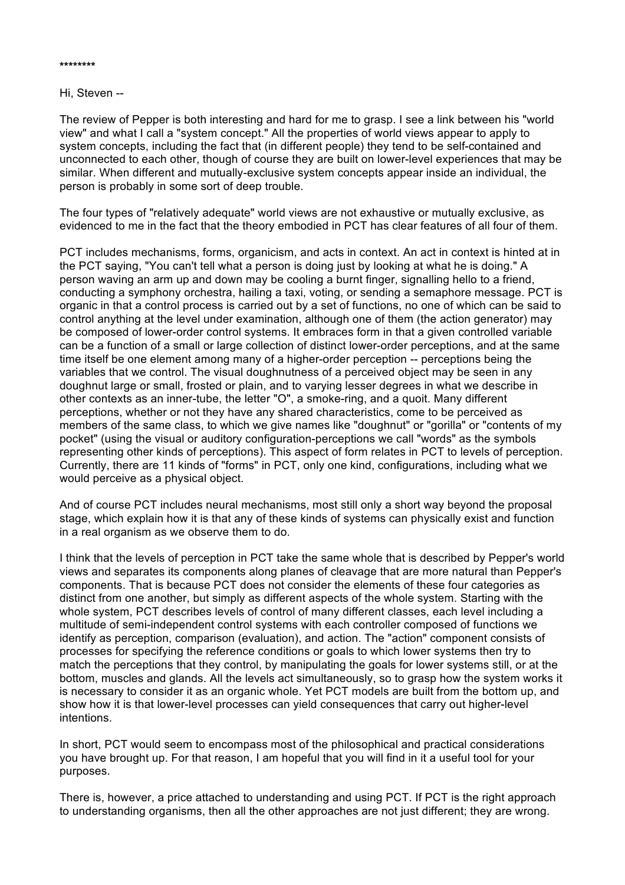Hi, Steven --

The review of Pepper is both interesting and hard for me to grasp. I see a link between his "world view" and what I call a "system concept." All the properties of world views appear to apply to system concepts, including the fact that (in different people) they tend to be self-contained and unconnected to each other, though of course they are built on lower-level experiences that may be similar. When different and mutually-exclusive system concepts appear inside an individual, the person is probably in some sort of deep trouble.

The four types of "relatively adequate" world views are not exhaustive or mutually exclusive, as evidenced to me in the fact that the theory embodied in PCT has clear features of all four of them.

PCT includes mechanisms, forms, organicism, and acts in context. An act in context is hinted at in the PCT saying, "You can't tell what a person is doing just by looking at what he is doing." A person waving an arm up and down may be cooling a burnt finger, signalling hello to a friend, conducting a symphony orchestra, hailing a taxi, voting, or sending a semaphore message. PCT is organic in that a control process is carried out by a set of functions, no one of which can be said to control anything at the level under examination, although one of them (the action generator) may be composed of lower-order control systems. It embraces form in that a given controlled variable can be a function of a small or large collection of distinct lower-order perceptions, and at the same time itself be one element among many of a higher-order perception -- perceptions being the variables that we control. The visual doughnutness of a perceived object may be seen in any doughnut large or small, frosted or plain, and to varying lesser degrees in what we describe in other contexts as an inner-tube, the letter "O", a smoke-ring, and a quoit. Many different perceptions, whether or not they have any shared characteristics, come to be perceived as members of the same class, to which we give names like "doughnut" or "gorilla" or "contents of my pocket" (using the visual or auditory configuration-perceptions we call "words" as the symbols representing other kinds of perceptions). This aspect of form relates in PCT to levels of perception. Currently, there are 11 kinds of "forms" in PCT, only one kind, configurations, including what we would perceive as a physical object.

And of course PCT includes neural mechanisms, most still only a short way beyond the proposal stage, which explain how it is that any of these kinds of systems can physically exist and function in a real organism as we observe them to do.

I think that the levels of perception in PCT take the same whole that is described by Pepper's world views and separates its components along planes of cleavage that are more natural than Pepper's components. That is because PCT does not consider the elements of these four categories as distinct from one another, but simply as different aspects of the whole system. Starting with the whole system, PCT describes levels of control of many different classes, each level including a multitude of semi-independent control systems with each controller composed of functions we identify as perception, comparison (evaluation), and action. The "action" component consists of processes for specifying the reference conditions or goals to which lower systems then try to match the perceptions that they control, by manipulating the goals for lower systems still, or at the bottom, muscles and glands. All the levels act simultaneously, so to grasp how the system works it is necessary to consider it as an organic whole. Yet PCT models are built from the bottom up, and show how it is that lower-level processes can yield consequences that carry out higher-level intentions.

In short, PCT would seem to encompass most of the philosophical and practical considerations you have brought up. For that reason, I am hopeful that you will find in it a useful tool for your purposes.

There is, however, a price attached to understanding and using PCT. If PCT is the right approach to understanding organisms, then all the other approaches are not just different; they are wrong.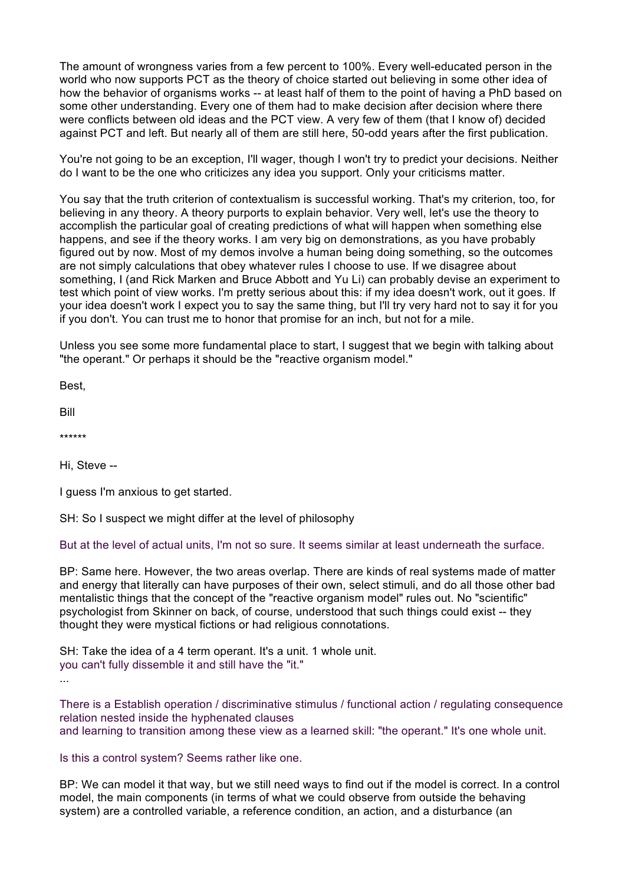The amount of wrongness varies from a few percent to 100%. Every well-educated person in the world who now supports PCT as the theory of choice started out believing in some other idea of how the behavior of organisms works -- at least half of them to the point of having a PhD based on some other understanding. Every one of them had to make decision after decision where there were conflicts between old ideas and the PCT view. A very few of them (that I know of) decided against PCT and left. But nearly all of them are still here, 50-odd years after the first publication.

You're not going to be an exception, I'll wager, though I won't try to predict your decisions. Neither do I want to be the one who criticizes any idea you support. Only your criticisms matter.

You say that the truth criterion of contextualism is successful working. That's my criterion, too, for believing in any theory. A theory purports to explain behavior. Very well, let's use the theory to accomplish the particular goal of creating predictions of what will happen when something else happens, and see if the theory works. I am very big on demonstrations, as you have probably figured out by now. Most of my demos involve a human being doing something, so the outcomes are not simply calculations that obey whatever rules I choose to use. If we disagree about something, I (and Rick Marken and Bruce Abbott and Yu Li) can probably devise an experiment to test which point of view works. I'm pretty serious about this: if my idea doesn't work, out it goes. If your idea doesn't work I expect you to say the same thing, but I'll try very hard not to say it for you if you don't. You can trust me to honor that promise for an inch, but not for a mile.

Unless you see some more fundamental place to start, I suggest that we begin with talking about "the operant." Or perhaps it should be the "reactive organism model."

Best,

Bill

\*\*\*\*\*\*

Hi, Steve --

I guess I'm anxious to get started.

SH: So I suspect we might differ at the level of philosophy

But at the level of actual units, I'm not so sure. It seems similar at least underneath the surface.

BP: Same here. However, the two areas overlap. There are kinds of real systems made of matter and energy that literally can have purposes of their own, select stimuli, and do all those other bad mentalistic things that the concept of the "reactive organism model" rules out. No "scientific" psychologist from Skinner on back, of course, understood that such things could exist -- they thought they were mystical fictions or had religious connotations.

SH: Take the idea of a 4 term operant. It's a unit. 1 whole unit. you can't fully dissemble it and still have the "it." ...

There is a Establish operation / discriminative stimulus / functional action / regulating consequence relation nested inside the hyphenated clauses and learning to transition among these view as a learned skill: "the operant." It's one whole unit.

Is this a control system? Seems rather like one.

BP: We can model it that way, but we still need ways to find out if the model is correct. In a control model, the main components (in terms of what we could observe from outside the behaving system) are a controlled variable, a reference condition, an action, and a disturbance (an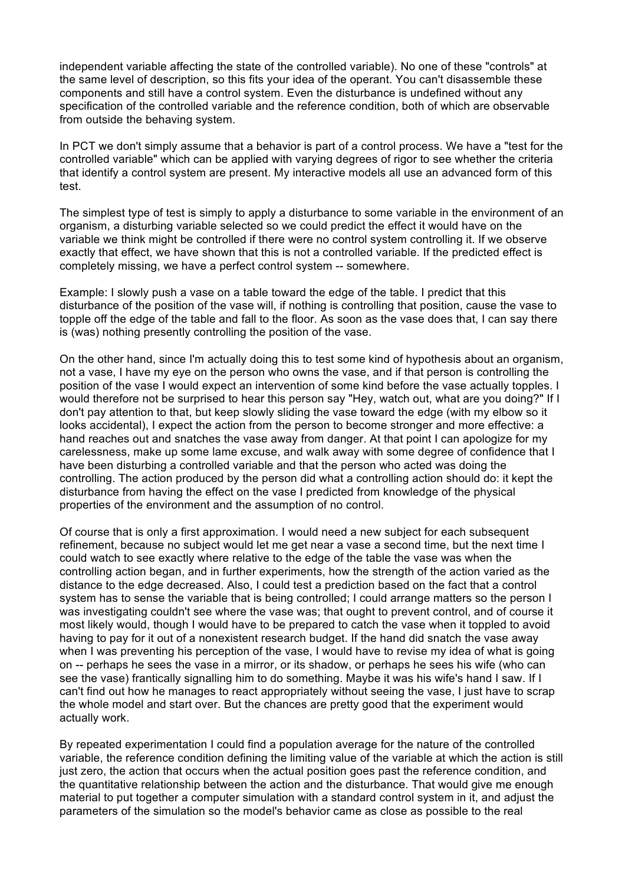independent variable affecting the state of the controlled variable). No one of these "controls" at the same level of description, so this fits your idea of the operant. You can't disassemble these components and still have a control system. Even the disturbance is undefined without any specification of the controlled variable and the reference condition, both of which are observable from outside the behaving system.

In PCT we don't simply assume that a behavior is part of a control process. We have a "test for the controlled variable" which can be applied with varying degrees of rigor to see whether the criteria that identify a control system are present. My interactive models all use an advanced form of this test.

The simplest type of test is simply to apply a disturbance to some variable in the environment of an organism, a disturbing variable selected so we could predict the effect it would have on the variable we think might be controlled if there were no control system controlling it. If we observe exactly that effect, we have shown that this is not a controlled variable. If the predicted effect is completely missing, we have a perfect control system -- somewhere.

Example: I slowly push a vase on a table toward the edge of the table. I predict that this disturbance of the position of the vase will, if nothing is controlling that position, cause the vase to topple off the edge of the table and fall to the floor. As soon as the vase does that, I can say there is (was) nothing presently controlling the position of the vase.

On the other hand, since I'm actually doing this to test some kind of hypothesis about an organism, not a vase, I have my eye on the person who owns the vase, and if that person is controlling the position of the vase I would expect an intervention of some kind before the vase actually topples. I would therefore not be surprised to hear this person say "Hey, watch out, what are you doing?" If I don't pay attention to that, but keep slowly sliding the vase toward the edge (with my elbow so it looks accidental), I expect the action from the person to become stronger and more effective: a hand reaches out and snatches the vase away from danger. At that point I can apologize for my carelessness, make up some lame excuse, and walk away with some degree of confidence that I have been disturbing a controlled variable and that the person who acted was doing the controlling. The action produced by the person did what a controlling action should do: it kept the disturbance from having the effect on the vase I predicted from knowledge of the physical properties of the environment and the assumption of no control.

Of course that is only a first approximation. I would need a new subject for each subsequent refinement, because no subject would let me get near a vase a second time, but the next time I could watch to see exactly where relative to the edge of the table the vase was when the controlling action began, and in further experiments, how the strength of the action varied as the distance to the edge decreased. Also, I could test a prediction based on the fact that a control system has to sense the variable that is being controlled; I could arrange matters so the person I was investigating couldn't see where the vase was; that ought to prevent control, and of course it most likely would, though I would have to be prepared to catch the vase when it toppled to avoid having to pay for it out of a nonexistent research budget. If the hand did snatch the vase away when I was preventing his perception of the vase, I would have to revise my idea of what is going on -- perhaps he sees the vase in a mirror, or its shadow, or perhaps he sees his wife (who can see the vase) frantically signalling him to do something. Maybe it was his wife's hand I saw. If I can't find out how he manages to react appropriately without seeing the vase, I just have to scrap the whole model and start over. But the chances are pretty good that the experiment would actually work.

By repeated experimentation I could find a population average for the nature of the controlled variable, the reference condition defining the limiting value of the variable at which the action is still just zero, the action that occurs when the actual position goes past the reference condition, and the quantitative relationship between the action and the disturbance. That would give me enough material to put together a computer simulation with a standard control system in it, and adjust the parameters of the simulation so the model's behavior came as close as possible to the real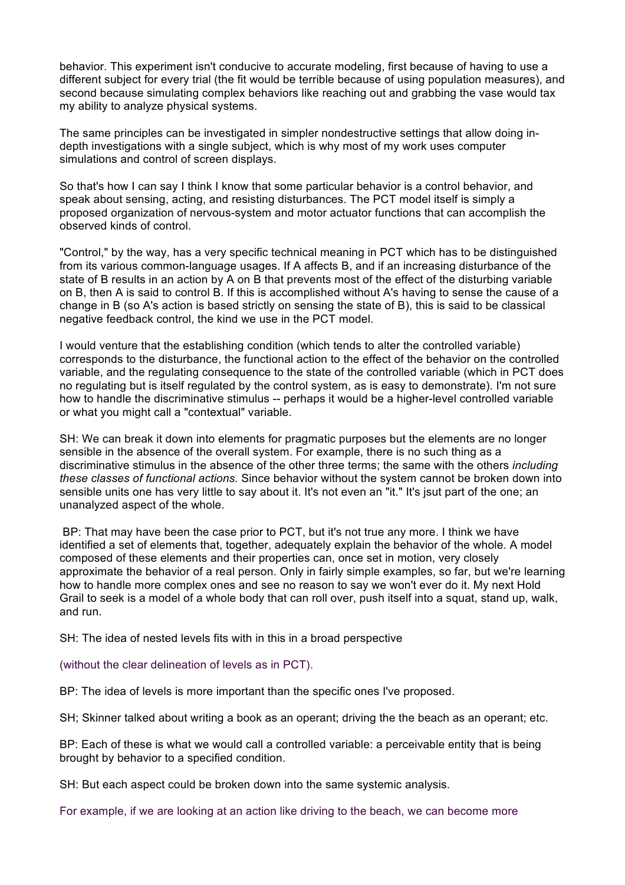behavior. This experiment isn't conducive to accurate modeling, first because of having to use a different subject for every trial (the fit would be terrible because of using population measures), and second because simulating complex behaviors like reaching out and grabbing the vase would tax my ability to analyze physical systems.

The same principles can be investigated in simpler nondestructive settings that allow doing indepth investigations with a single subject, which is why most of my work uses computer simulations and control of screen displays.

So that's how I can say I think I know that some particular behavior is a control behavior, and speak about sensing, acting, and resisting disturbances. The PCT model itself is simply a proposed organization of nervous-system and motor actuator functions that can accomplish the observed kinds of control.

"Control," by the way, has a very specific technical meaning in PCT which has to be distinguished from its various common-language usages. If A affects B, and if an increasing disturbance of the state of B results in an action by A on B that prevents most of the effect of the disturbing variable on B, then A is said to control B. If this is accomplished without A's having to sense the cause of a change in B (so A's action is based strictly on sensing the state of B), this is said to be classical negative feedback control, the kind we use in the PCT model.

I would venture that the establishing condition (which tends to alter the controlled variable) corresponds to the disturbance, the functional action to the effect of the behavior on the controlled variable, and the regulating consequence to the state of the controlled variable (which in PCT does no regulating but is itself regulated by the control system, as is easy to demonstrate). I'm not sure how to handle the discriminative stimulus -- perhaps it would be a higher-level controlled variable or what you might call a "contextual" variable.

SH: We can break it down into elements for pragmatic purposes but the elements are no longer sensible in the absence of the overall system. For example, there is no such thing as a discriminative stimulus in the absence of the other three terms; the same with the others *including these classes of functional actions.* Since behavior without the system cannot be broken down into sensible units one has very little to say about it. It's not even an "it." It's jsut part of the one; an unanalyzed aspect of the whole.

BP: That may have been the case prior to PCT, but it's not true any more. I think we have identified a set of elements that, together, adequately explain the behavior of the whole. A model composed of these elements and their properties can, once set in motion, very closely approximate the behavior of a real person. Only in fairly simple examples, so far, but we're learning how to handle more complex ones and see no reason to say we won't ever do it. My next Hold Grail to seek is a model of a whole body that can roll over, push itself into a squat, stand up, walk, and run.

SH: The idea of nested levels fits with in this in a broad perspective

(without the clear delineation of levels as in PCT).

BP: The idea of levels is more important than the specific ones I've proposed.

SH; Skinner talked about writing a book as an operant; driving the the beach as an operant; etc.

BP: Each of these is what we would call a controlled variable: a perceivable entity that is being brought by behavior to a specified condition.

SH: But each aspect could be broken down into the same systemic analysis.

For example, if we are looking at an action like driving to the beach, we can become more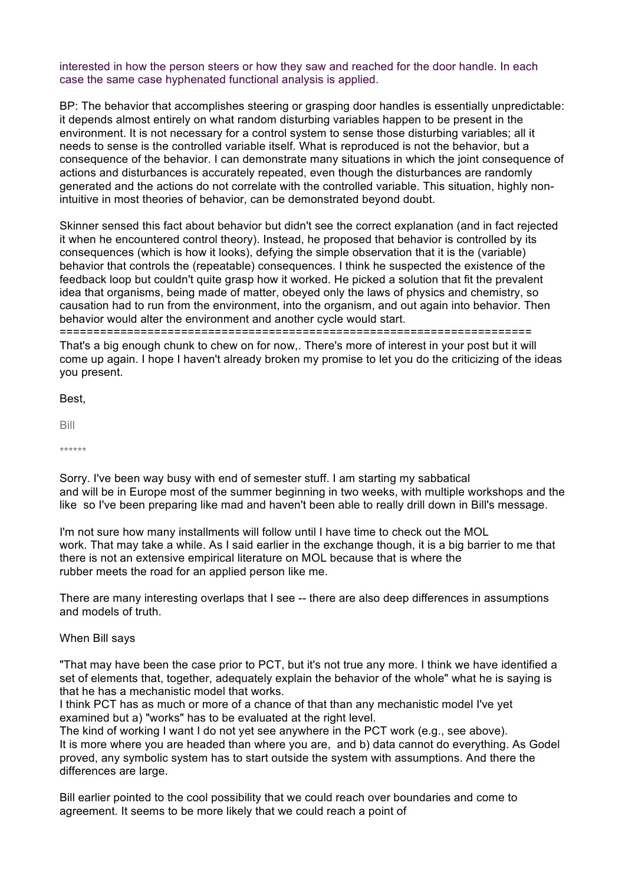interested in how the person steers or how they saw and reached for the door handle. In each case the same case hyphenated functional analysis is applied.

BP: The behavior that accomplishes steering or grasping door handles is essentially unpredictable: it depends almost entirely on what random disturbing variables happen to be present in the environment. It is not necessary for a control system to sense those disturbing variables; all it needs to sense is the controlled variable itself. What is reproduced is not the behavior, but a consequence of the behavior. I can demonstrate many situations in which the joint consequence of actions and disturbances is accurately repeated, even though the disturbances are randomly generated and the actions do not correlate with the controlled variable. This situation, highly nonintuitive in most theories of behavior, can be demonstrated beyond doubt.

Skinner sensed this fact about behavior but didn't see the correct explanation (and in fact rejected it when he encountered control theory). Instead, he proposed that behavior is controlled by its consequences (which is how it looks), defying the simple observation that it is the (variable) behavior that controls the (repeatable) consequences. I think he suspected the existence of the feedback loop but couldn't quite grasp how it worked. He picked a solution that fit the prevalent idea that organisms, being made of matter, obeyed only the laws of physics and chemistry, so causation had to run from the environment, into the organism, and out again into behavior. Then behavior would alter the environment and another cycle would start. ======================================================================

That's a big enough chunk to chew on for now,. There's more of interest in your post but it will come up again. I hope I haven't already broken my promise to let you do the criticizing of the ideas you present.

Best,

Bill

\*\*\*\*\*\*

Sorry. I've been way busy with end of semester stuff. I am starting my sabbatical and will be in Europe most of the summer beginning in two weeks, with multiple workshops and the like so I've been preparing like mad and haven't been able to really drill down in Bill's message.

I'm not sure how many installments will follow until I have time to check out the MOL work. That may take a while. As I said earlier in the exchange though, it is a big barrier to me that there is not an extensive empirical literature on MOL because that is where the rubber meets the road for an applied person like me.

There are many interesting overlaps that I see -- there are also deep differences in assumptions and models of truth.

## When Bill says

"That may have been the case prior to PCT, but it's not true any more. I think we have identified a set of elements that, together, adequately explain the behavior of the whole" what he is saying is that he has a mechanistic model that works.

I think PCT has as much or more of a chance of that than any mechanistic model I've yet examined but a) "works" has to be evaluated at the right level.

The kind of working I want I do not yet see anywhere in the PCT work (e.g., see above). It is more where you are headed than where you are, and b) data cannot do everything. As Godel proved, any symbolic system has to start outside the system with assumptions. And there the differences are large.

Bill earlier pointed to the cool possibility that we could reach over boundaries and come to agreement. It seems to be more likely that we could reach a point of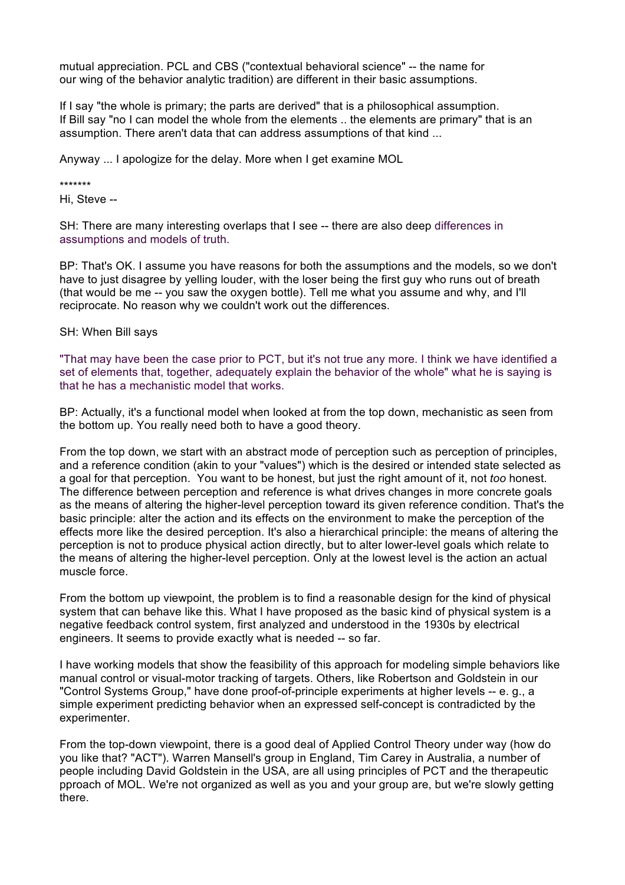mutual appreciation. PCL and CBS ("contextual behavioral science" -- the name for our wing of the behavior analytic tradition) are different in their basic assumptions.

If I say "the whole is primary; the parts are derived" that is a philosophical assumption. If Bill say "no I can model the whole from the elements .. the elements are primary" that is an assumption. There aren't data that can address assumptions of that kind ...

Anyway ... I apologize for the delay. More when I get examine MOL

\*\*\*\*\*\*\*

Hi, Steve --

SH: There are many interesting overlaps that I see -- there are also deep differences in assumptions and models of truth.

BP: That's OK. I assume you have reasons for both the assumptions and the models, so we don't have to just disagree by yelling louder, with the loser being the first guy who runs out of breath (that would be me -- you saw the oxygen bottle). Tell me what you assume and why, and I'll reciprocate. No reason why we couldn't work out the differences.

## SH: When Bill says

"That may have been the case prior to PCT, but it's not true any more. I think we have identified a set of elements that, together, adequately explain the behavior of the whole" what he is saying is that he has a mechanistic model that works.

BP: Actually, it's a functional model when looked at from the top down, mechanistic as seen from the bottom up. You really need both to have a good theory.

From the top down, we start with an abstract mode of perception such as perception of principles, and a reference condition (akin to your "values") which is the desired or intended state selected as a goal for that perception. You want to be honest, but just the right amount of it, not *too* honest. The difference between perception and reference is what drives changes in more concrete goals as the means of altering the higher-level perception toward its given reference condition. That's the basic principle: alter the action and its effects on the environment to make the perception of the effects more like the desired perception. It's also a hierarchical principle: the means of altering the perception is not to produce physical action directly, but to alter lower-level goals which relate to the means of altering the higher-level perception. Only at the lowest level is the action an actual muscle force.

From the bottom up viewpoint, the problem is to find a reasonable design for the kind of physical system that can behave like this. What I have proposed as the basic kind of physical system is a negative feedback control system, first analyzed and understood in the 1930s by electrical engineers. It seems to provide exactly what is needed -- so far.

I have working models that show the feasibility of this approach for modeling simple behaviors like manual control or visual-motor tracking of targets. Others, like Robertson and Goldstein in our "Control Systems Group," have done proof-of-principle experiments at higher levels -- e. g., a simple experiment predicting behavior when an expressed self-concept is contradicted by the experimenter.

From the top-down viewpoint, there is a good deal of Applied Control Theory under way (how do you like that? "ACT"). Warren Mansell's group in England, Tim Carey in Australia, a number of people including David Goldstein in the USA, are all using principles of PCT and the therapeutic pproach of MOL. We're not organized as well as you and your group are, but we're slowly getting there.